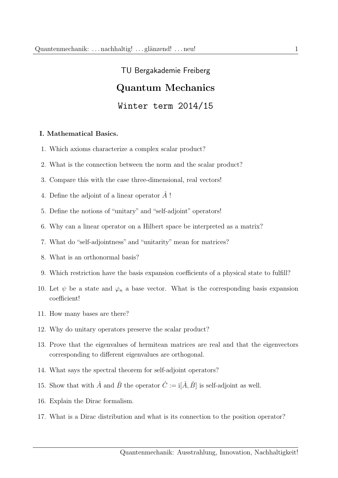# TU Bergakademie Freiberg Quantum Mechanics Winter term 2014/15

### I. Mathematical Basics.

- 1. Which axioms characterize a complex scalar product?
- 2. What is the connection between the norm and the scalar product?
- 3. Compare this with the case three-dimensional, real vectors!
- 4. Define the adjoint of a linear operator  $\tilde{A}$ !
- 5. Define the notions of "unitary" and "self-adjoint" operators!
- 6. Why can a linear operator on a Hilbert space be interpreted as a matrix?
- 7. What do "self-adjointness" and "unitarity" mean for matrices?
- 8. What is an orthonormal basis?
- 9. Which restriction have the basis expansion coefficients of a physical state to fulfill?
- 10. Let  $\psi$  be a state and  $\varphi_n$  a base vector. What is the corresponding basis expansion coefficient!
- 11. How many bases are there?
- 12. Why do unitary operators preserve the scalar product?
- 13. Prove that the eigenvalues of hermitean matrices are real and that the eigenvectors corresponding to different eigenvalues are orthogonal.
- 14. What says the spectral theorem for self-adjoint operators?
- 15. Show that with  $\hat{A}$  and  $\hat{B}$  the operator  $\hat{C} := \mathbb{I}[\hat{A}, \hat{B}]$  is self-adjoint as well.
- 16. Explain the Dirac formalism.
- 17. What is a Dirac distribution and what is its connection to the position operator?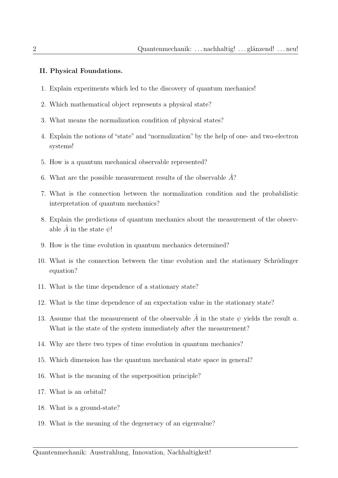## II. Physical Foundations.

- 1. Explain experiments which led to the discovery of quantum mechanics!
- 2. Which mathematical object represents a physical state?
- 3. What means the normalization condition of physical states?
- 4. Explain the notions of "state" and "normalization" by the help of one- and two-electron systems!
- 5. How is a quantum mechanical observable represented?
- 6. What are the possible measurement results of the observable  $\hat{A}$ ?
- 7. What is the connection between the normalization condition and the probabilistic interpretation of quantum mechanics?
- 8. Explain the predictions of quantum mechanics about the measurement of the observable  $\hat{A}$  in the state  $\psi$ !
- 9. How is the time evolution in quantum mechanics determined?
- 10. What is the connection between the time evolution and the stationary Schrödinger equation?
- 11. What is the time dependence of a stationary state?
- 12. What is the time dependence of an expectation value in the stationary state?
- 13. Assume that the measurement of the observable  $\hat{A}$  in the state  $\psi$  yields the result a. What is the state of the system immediately after the measurement?
- 14. Why are there two types of time evolution in quantum mechanics?
- 15. Which dimension has the quantum mechanical state space in general?
- 16. What is the meaning of the superposition principle?
- 17. What is an orbital?
- 18. What is a ground-state?
- 19. What is the meaning of the degeneracy of an eigenvalue?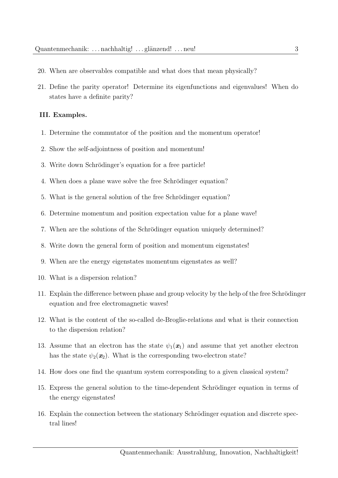- 20. When are observables compatible and what does that mean physically?
- 21. Define the parity operator! Determine its eigenfunctions and eigenvalues! When do states have a definite parity?

#### III. Examples.

- 1. Determine the commutator of the position and the momentum operator!
- 2. Show the self-adjointness of position and momentum!
- 3. Write down Schrödinger's equation for a free particle!
- 4. When does a plane wave solve the free Schrödinger equation?
- 5. What is the general solution of the free Schrödinger equation?
- 6. Determine momentum and position expectation value for a plane wave!
- 7. When are the solutions of the Schrödinger equation uniquely determined?
- 8. Write down the general form of position and momentum eigenstates!
- 9. When are the energy eigenstates momentum eigenstates as well?
- 10. What is a dispersion relation?
- 11. Explain the difference between phase and group velocity by the help of the free Schrödinger equation and free electromagnetic waves!
- 12. What is the content of the so-called de-Broglie-relations and what is their connection to the dispersion relation?
- 13. Assume that an electron has the state  $\psi_1(x_1)$  and assume that yet another electron has the state  $\psi_2(\mathbf{x}_2)$ . What is the corresponding two-electron state?
- 14. How does one find the quantum system corresponding to a given classical system?
- 15. Express the general solution to the time-dependent Schrödinger equation in terms of the energy eigenstates!
- 16. Explain the connection between the stationary Schrödinger equation and discrete spectral lines!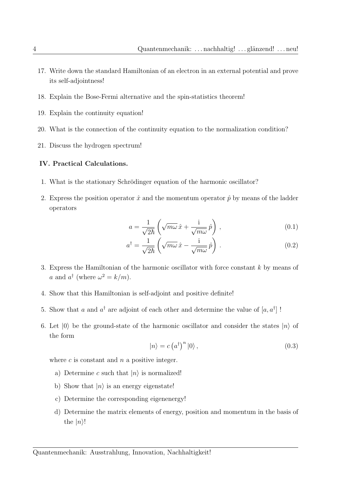- 17. Write down the standard Hamiltonian of an electron in an external potential and prove its self-adjointness!
- 18. Explain the Bose-Fermi alternative and the spin-statistics theorem!
- 19. Explain the continuity equation!
- 20. What is the connection of the continuity equation to the normalization condition?
- 21. Discuss the hydrogen spectrum!

#### IV. Practical Calculations.

- 1. What is the stationary Schrödinger equation of the harmonic oscillator?
- 2. Express the position operator  $\hat{x}$  and the momentum operator  $\hat{p}$  by means of the ladder operators

$$
a = \frac{1}{\sqrt{2\hbar}} \left( \sqrt{m\omega} \,\hat{x} + \frac{\mathrm{i}}{\sqrt{m\omega}} \,\hat{p} \right) , \tag{0.1}
$$

$$
a^{\dagger} = \frac{1}{\sqrt{2\hbar}} \left( \sqrt{m\omega} \,\hat{x} - \frac{\mathrm{i}}{\sqrt{m\omega}} \,\hat{p} \right) . \tag{0.2}
$$

- 3. Express the Hamiltonian of the harmonic oscillator with force constant k by means of a and  $a^{\dagger}$  (where  $\omega^2 = k/m$ ).
- 4. Show that this Hamiltonian is self-adjoint and positive definite!
- 5. Show that a and  $a^{\dagger}$  are adjoint of each other and determine the value of  $[a, a^{\dagger}]$ !
- 6. Let  $|0\rangle$  be the ground-state of the harmonic oscillator and consider the states  $|n\rangle$  of the form

$$
|n\rangle = c (a^{\dagger})^{n} |0\rangle, \qquad (0.3)
$$

where  $c$  is constant and  $n$  a positive integer.

- a) Determine c such that  $|n\rangle$  is normalized!
- b) Show that  $|n\rangle$  is an energy eigenstate!
- c) Determine the corresponding eigenenergy!
- d) Determine the matrix elements of energy, position and momentum in the basis of the  $|n\rangle!$